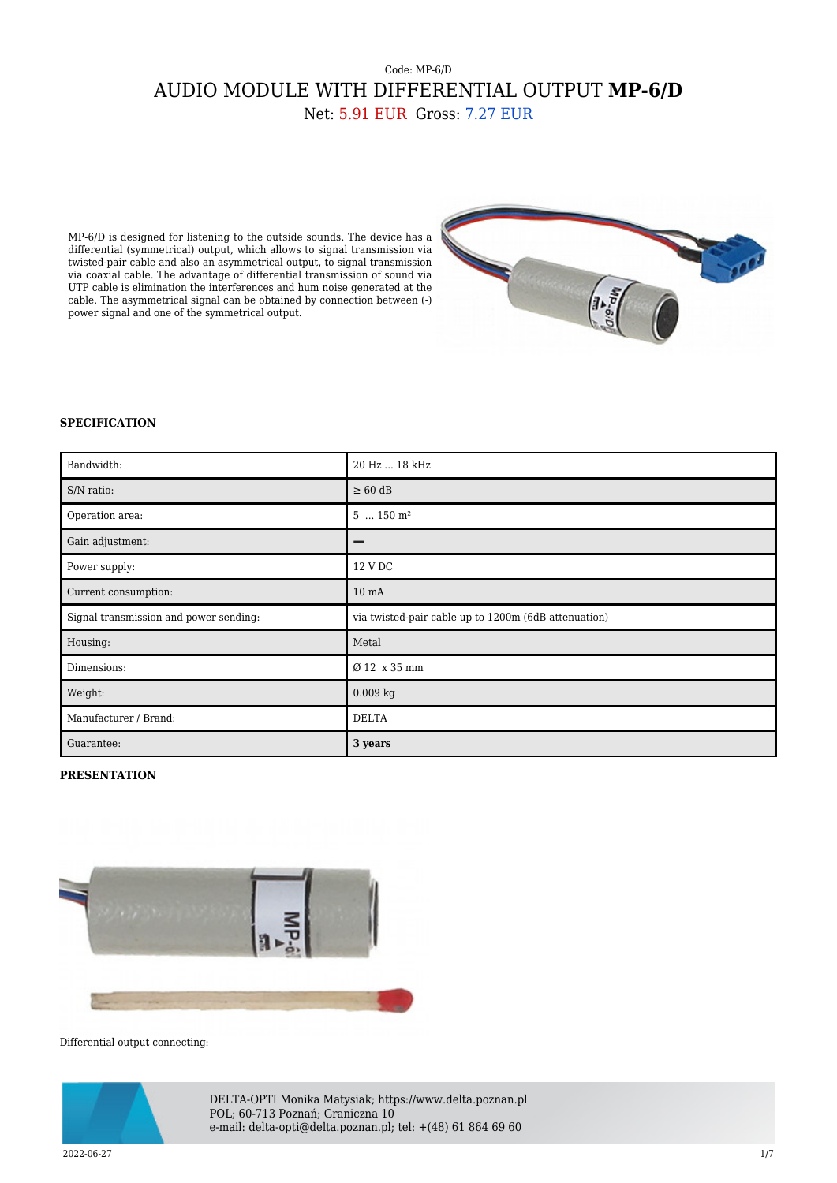## Code: MP-6/D AUDIO MODULE WITH DIFFERENTIAL OUTPUT **MP-6/D** Net: 5.91 EUR Gross: 7.27 EUR

MP-6/D is designed for listening to the outside sounds. The device has a differential (symmetrical) output, which allows to signal transmission via twisted-pair cable and also an asymmetrical output, to signal transmission via coaxial cable. The advantage of differential transmission of sound via UTP cable is elimination the interferences and hum noise generated at the cable. The asymmetrical signal can be obtained by connection between (-) power signal and one of the symmetrical output.



## **SPECIFICATION**

| Bandwidth:                             | 20 Hz  18 kHz                                        |
|----------------------------------------|------------------------------------------------------|
| S/N ratio:                             | $\geq 60$ dB                                         |
| Operation area:                        | $5150$ m <sup>2</sup>                                |
| Gain adjustment:                       |                                                      |
| Power supply:                          | 12 V DC                                              |
| Current consumption:                   | 10 <sub>mA</sub>                                     |
| Signal transmission and power sending: | via twisted-pair cable up to 1200m (6dB attenuation) |
| Housing:                               | Metal                                                |
| Dimensions:                            | Ø 12 x 35 mm                                         |
| Weight:                                | $0.009$ kg                                           |
| Manufacturer / Brand:                  | <b>DELTA</b>                                         |
| Guarantee:                             | 3 years                                              |

## **PRESENTATION**



Differential output connecting:



DELTA-OPTI Monika Matysiak; https://www.delta.poznan.pl POL; 60-713 Poznań; Graniczna 10 e-mail: delta-opti@delta.poznan.pl; tel: +(48) 61 864 69 60

2022-06-27 1/7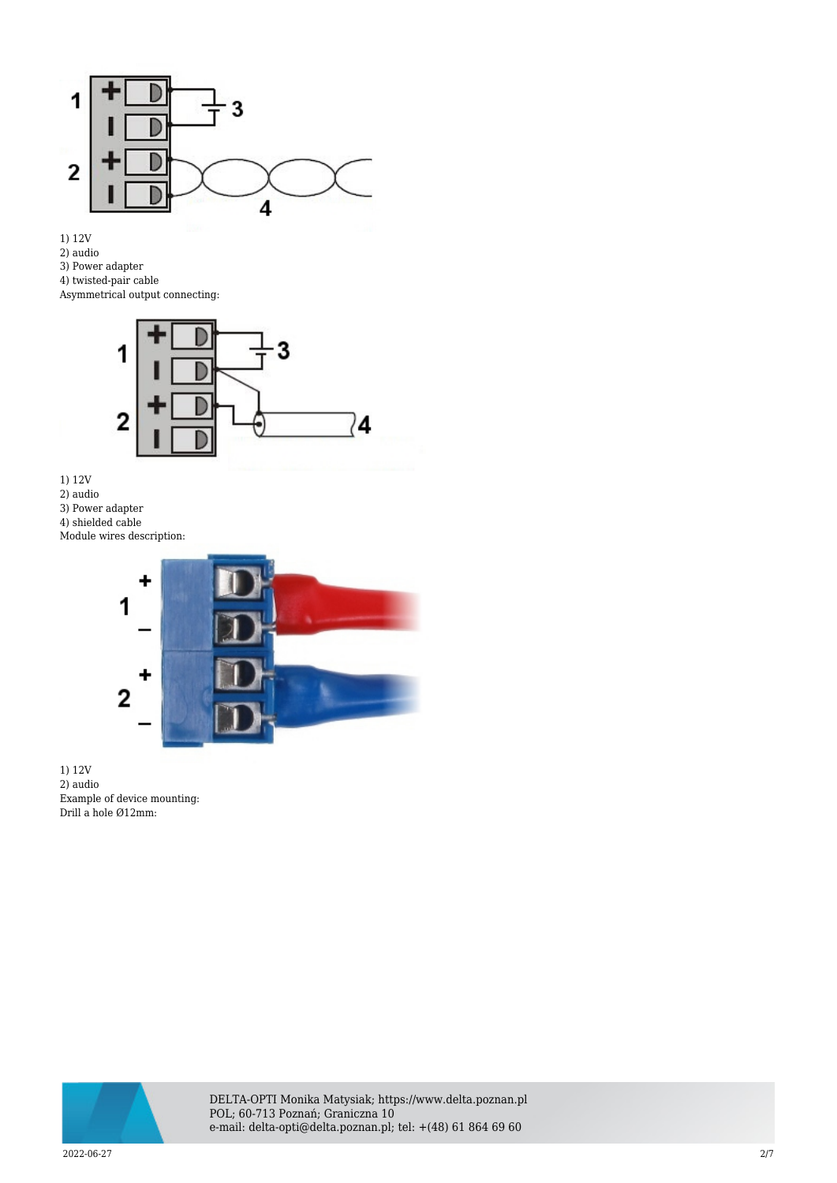

- 1) 12V
- 2) audio
- 3) Power adapter
- 4) twisted-pair cable

Asymmetrical output connecting:



- 1) 12V
- 2) audio
- 3) Power adapter
- 4) shielded cable
- Module wires description:



1) 12V 2) audio Example of device mounting: Drill a hole Ø12mm:



DELTA-OPTI Monika Matysiak; https://www.delta.poznan.pl POL; 60-713 Poznań; Graniczna 10 e-mail: delta-opti@delta.poznan.pl; tel: +(48) 61 864 69 60

2022-06-27 2/7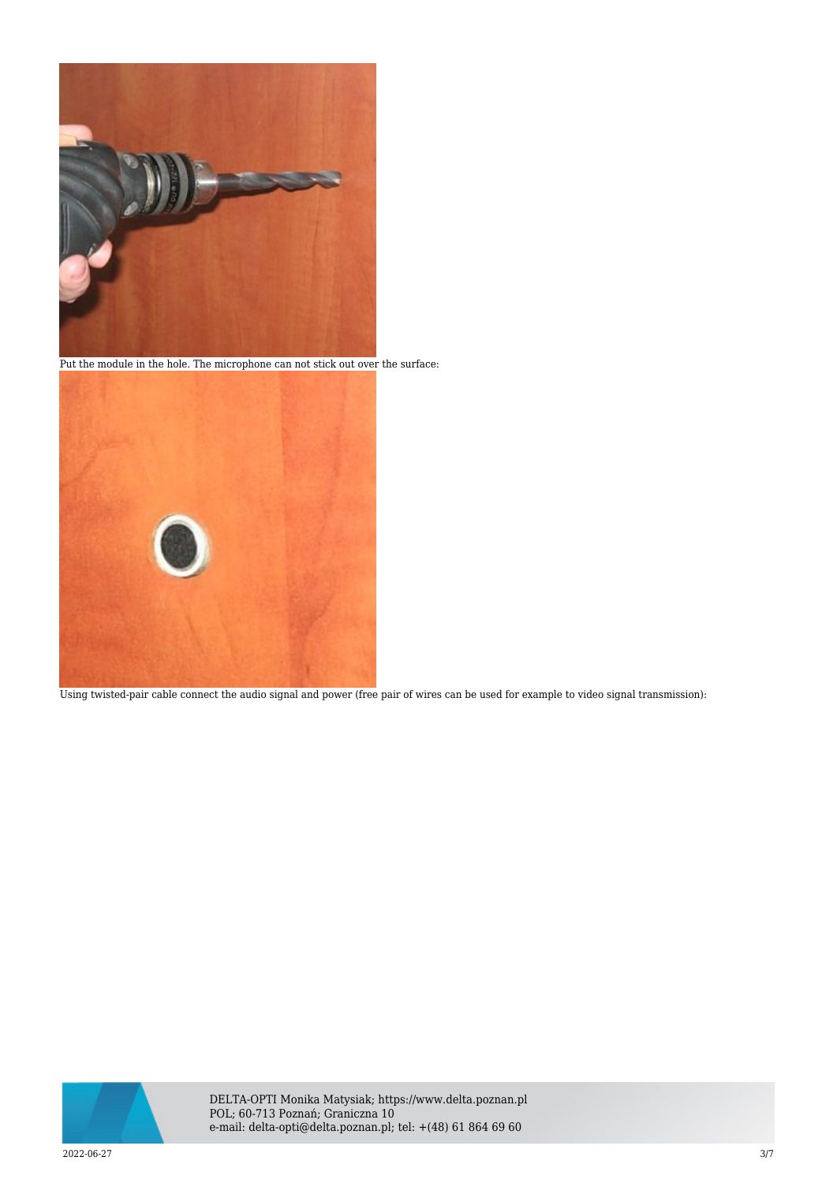

Put the module in the hole. The microphone can not stick out over the surface:



Using twisted-pair cable connect the audio signal and power (free pair of wires can be used for example to video signal transmission):

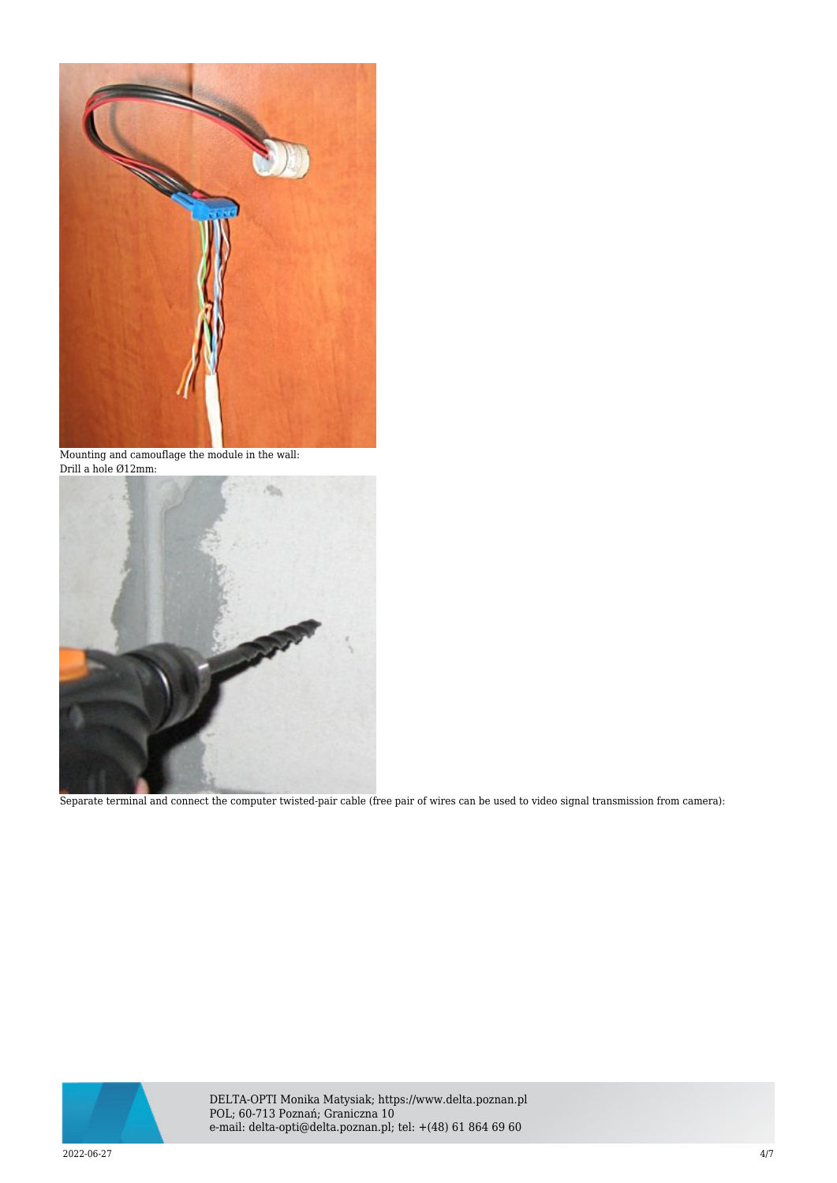

Mounting and camouflage the module in the wall: Drill a hole Ø12mm:



Separate terminal and connect the computer twisted-pair cable (free pair of wires can be used to video signal transmission from camera):



DELTA-OPTI Monika Matysiak; https://www.delta.poznan.pl POL; 60-713 Poznań; Graniczna 10 e-mail: delta-opti@delta.poznan.pl; tel: +(48) 61 864 69 60

2022-06-27 4/7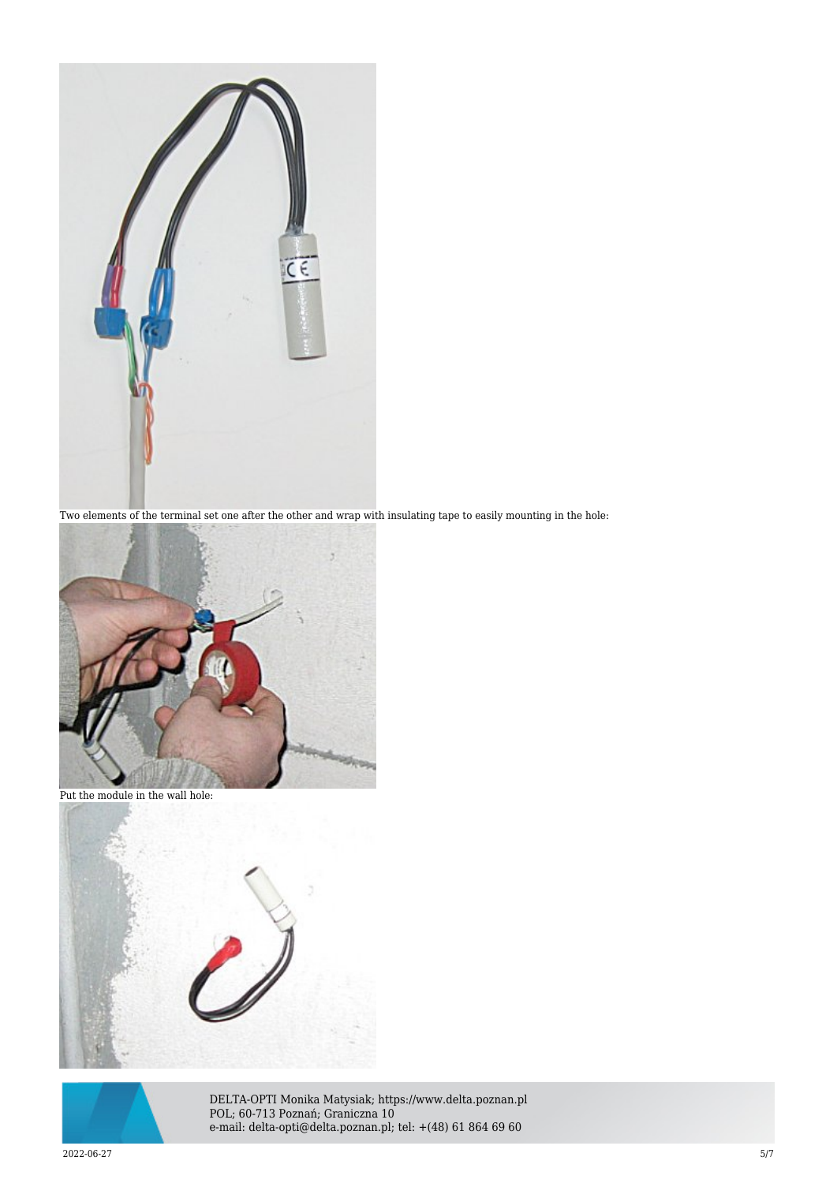

Two elements of the terminal set one after the other and wrap with insulating tape to easily mounting in the hole:



Put the module in the wall hole:





DELTA-OPTI Monika Matysiak; https://www.delta.poznan.pl POL; 60-713 Poznań; Graniczna 10 e-mail: delta-opti@delta.poznan.pl; tel: +(48) 61 864 69 60

2022-06-27 5/7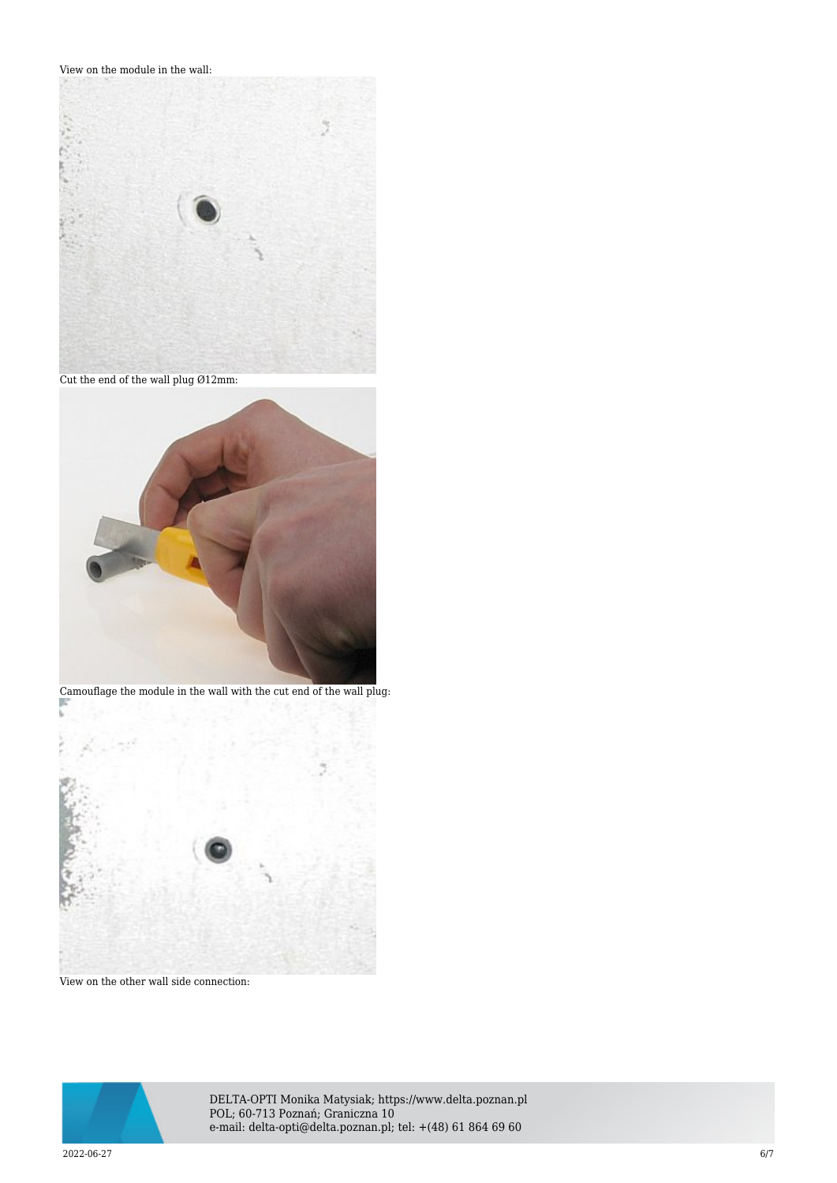View on the module in the wall:



Cut the end of the wall plug Ø12mm:



Camouflage the module in the wall with the cut end of the wall plug: T.



View on the other wall side connection:



DELTA-OPTI Monika Matysiak; https://www.delta.poznan.pl POL; 60-713 Poznań; Graniczna 10 e-mail: delta-opti@delta.poznan.pl; tel: +(48) 61 864 69 60

2022-06-27 6/7